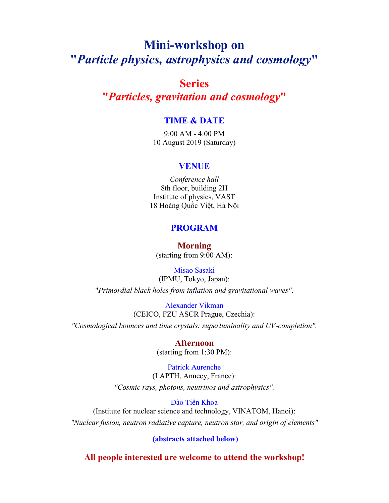# Mini-workshop on "*Particle physics, astrophysics and cosmology*"

# Series

"*Particles, gravitation and cosmology*"

### TIME & DATE

9:00 AM - 4:00 PM 10 August 2019 (Saturday)

#### VENUE

*Conference hall* 8th floor, building 2H Institute of physics, VAST 18 Hoàng Quốc Việt, Hà Nội

### PROGRAM

Morning (starting from 9:00 AM):

Misao Sasaki (IPMU, Tokyo, Japan): "*Primordial black holes from inflation and gravitational waves"*.

Alexander Vikman (CEICO, FZU ASCR Prague, Czechia): *"Cosmological bounces and time crystals: superluminality and UV-completion".*

## Afternoon

(starting from 1:30 PM):

Patrick Aurenche (LAPTH, Annecy, France): *"Cosmic rays, photons, neutrinos and astrophysics".*

Đào Tiến Khoa

(Institute for nuclear science and technology, VINATOM, Hanoi): *"Nuclear fusion, neutron radiative capture, neutron star, and origin of elements"*

(abstracts attached below)

All people interested are welcome to attend the workshop!